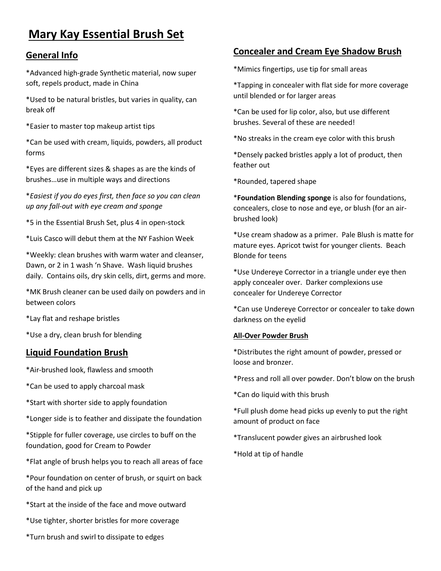# **Mary Kay Essential Brush Set**

# **General Info**

\*Advanced high-grade Synthetic material, now super soft, repels product, made in China

\*Used to be natural bristles, but varies in quality, can break off

\*Easier to master top makeup artist tips

\*Can be used with cream, liquids, powders, all product forms

\*Eyes are different sizes & shapes as are the kinds of brushes…use in multiple ways and directions

\**Easiest if you do eyes first, then face so you can clean up any fall-out with eye cream and sponge*

\*5 in the Essential Brush Set, plus 4 in open-stock

\*Luis Casco will debut them at the NY Fashion Week

\*Weekly: clean brushes with warm water and cleanser, Dawn, or 2 in 1 wash 'n Shave. Wash liquid brushes daily. Contains oils, dry skin cells, dirt, germs and more.

\*MK Brush cleaner can be used daily on powders and in between colors

\*Lay flat and reshape bristles

\*Use a dry, clean brush for blending

# **Liquid Foundation Brush**

\*Air-brushed look, flawless and smooth

\*Can be used to apply charcoal mask

\*Start with shorter side to apply foundation

\*Longer side is to feather and dissipate the foundation

\*Stipple for fuller coverage, use circles to buff on the foundation, good for Cream to Powder

\*Flat angle of brush helps you to reach all areas of face

\*Pour foundation on center of brush, or squirt on back of the hand and pick up

\*Start at the inside of the face and move outward

\*Use tighter, shorter bristles for more coverage

\*Turn brush and swirl to dissipate to edges

# **Concealer and Cream Eye Shadow Brush**

\*Mimics fingertips, use tip for small areas

\*Tapping in concealer with flat side for more coverage until blended or for larger areas

\*Can be used for lip color, also, but use different brushes. Several of these are needed!

\*No streaks in the cream eye color with this brush

\*Densely packed bristles apply a lot of product, then feather out

\*Rounded, tapered shape

\***Foundation Blending sponge** is also for foundations, concealers, close to nose and eye, or blush (for an airbrushed look)

\*Use cream shadow as a primer. Pale Blush is matte for mature eyes. Apricot twist for younger clients. Beach Blonde for teens

\*Use Undereye Corrector in a triangle under eye then apply concealer over. Darker complexions use concealer for Undereye Corrector

\*Can use Undereye Corrector or concealer to take down darkness on the eyelid

#### **All-Over Powder Brush**

\*Distributes the right amount of powder, pressed or loose and bronzer.

\*Press and roll all over powder. Don't blow on the brush

\*Can do liquid with this brush

\*Full plush dome head picks up evenly to put the right amount of product on face

\*Translucent powder gives an airbrushed look

\*Hold at tip of handle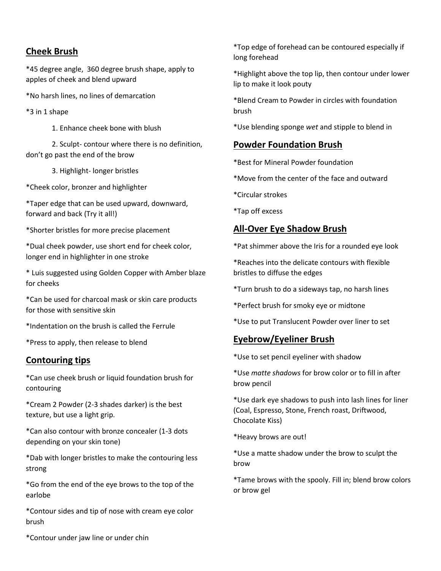## **Cheek Brush**

\*45 degree angle, 360 degree brush shape, apply to apples of cheek and blend upward

\*No harsh lines, no lines of demarcation

\*3 in 1 shape

1. Enhance cheek bone with blush

2. Sculpt- contour where there is no definition, don't go past the end of the brow

3. Highlight- longer bristles

\*Cheek color, bronzer and highlighter

\*Taper edge that can be used upward, downward, forward and back (Try it all!)

\*Shorter bristles for more precise placement

\*Dual cheek powder, use short end for cheek color, longer end in highlighter in one stroke

\* Luis suggested using Golden Copper with Amber blaze for cheeks

\*Can be used for charcoal mask or skin care products for those with sensitive skin

\*Indentation on the brush is called the Ferrule

\*Press to apply, then release to blend

#### **Contouring tips**

\*Can use cheek brush or liquid foundation brush for contouring

\*Cream 2 Powder (2-3 shades darker) is the best texture, but use a light grip.

\*Can also contour with bronze concealer (1-3 dots depending on your skin tone)

\*Dab with longer bristles to make the contouring less strong

\*Go from the end of the eye brows to the top of the earlobe

\*Contour sides and tip of nose with cream eye color brush

\*Top edge of forehead can be contoured especially if long forehead

\*Highlight above the top lip, then contour under lower lip to make it look pouty

\*Blend Cream to Powder in circles with foundation brush

\*Use blending sponge *wet* and stipple to blend in

#### **Powder Foundation Brush**

\*Best for Mineral Powder foundation

\*Move from the center of the face and outward

\*Circular strokes

\*Tap off excess

# **All-Over Eye Shadow Brush**

\*Pat shimmer above the Iris for a rounded eye look

\*Reaches into the delicate contours with flexible bristles to diffuse the edges

\*Turn brush to do a sideways tap, no harsh lines

\*Perfect brush for smoky eye or midtone

\*Use to put Translucent Powder over liner to set

#### **Eyebrow/Eyeliner Brush**

\*Use to set pencil eyeliner with shadow

\*Use *matte shadows* for brow color or to fill in after brow pencil

\*Use dark eye shadows to push into lash lines for liner (Coal, Espresso, Stone, French roast, Driftwood, Chocolate Kiss)

\*Heavy brows are out!

\*Use a matte shadow under the brow to sculpt the brow

\*Tame brows with the spooly. Fill in; blend brow colors or brow gel

\*Contour under jaw line or under chin